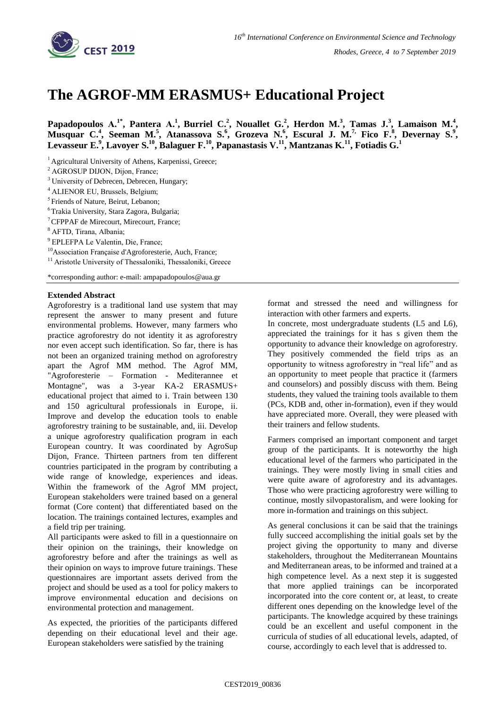

## **The AGROF-MM ERASMUS+ Educational Project**

**Papadopoulos A.<sup>1\*</sup>, Pantera A.<sup>1</sup>, Burriel C.<sup>2</sup>, Nouallet G.<sup>2</sup>, Herdon M.<sup>3</sup>, Tamas J.<sup>3</sup>, Lamaison M.<sup>4</sup>, Musquar C.<sup>4</sup> , Seeman M.<sup>5</sup> , Atanassova S.<sup>6</sup> , Grozeva N.<sup>6</sup> , Escural J. M.7, Fico F.<sup>8</sup> , Devernay S.<sup>9</sup> , Levasseur E.<sup>9</sup> , Lavoyer S.<sup>10</sup>, Balaguer F.<sup>10</sup>, Papanastasis V.<sup>11</sup>, Mantzanas K.<sup>11</sup>, Fotiadis G.<sup>1</sup>**

<sup>1</sup> Agricultural University of Athens, Karpenissi, Greece;

- <sup>3</sup> University of Debrecen, Debrecen, Hungary;
- 4  ALIENOR EU, Brussels, Belgium;
- <sup>5</sup> Friends of Nature, Beirut, Lebanon;
- $^6$ Trakia University, Stara Zagora, Bulgaria;
- <sup>7</sup>CFPPAF de Mirecourt, Mirecourt, France;
- 8  AFTD, Tirana, Albania;

9  EPLEFPA Le Valentin, Die, France;

<sup>10</sup>Association Française d'Agroforesterie, Auch, France;

<sup>11</sup> Aristotle University of Thessaloniki, Thessaloniki, Greece

\*corresponding author: e-mail: ampapadopoulos@aua.gr

## **Extended Abstract**

Agroforestry is a traditional land use system that may represent the answer to many present and future environmental problems. However, many farmers who practice agroforestry do not identity it as agroforestry nor even accept such identification. So far, there is has not been an organized training method on agroforestry apart the Agrof MM method. The Agrof MM, "Agroforesterie – Formation - Mediterannee et Montagne", was a 3-year KA-2 ERASMUS+ educational project that aimed to i. Train between 130 and 150 agricultural professionals in Europe, ii. Improve and develop the education tools to enable agroforestry training to be sustainable, and, iii. Develop a unique agroforestry qualification program in each European country. It was coordinated by AgroSup Dijon, France. Thirteen partners from ten different countries participated in the program by contributing a wide range of knowledge, experiences and ideas. Within the framework of the Agrof MM project, European stakeholders were trained based on a general format (Core content) that differentiated based on the location. The trainings contained lectures, examples and a field trip per training.

All participants were asked to fill in a questionnaire on their opinion on the trainings, their knowledge on agroforestry before and after the trainings as well as their opinion on ways to improve future trainings. These questionnaires are important assets derived from the project and should be used as a tool for policy makers to improve environmental education and decisions on environmental protection and management.

As expected, the priorities of the participants differed depending on their educational level and their age. European stakeholders were satisfied by the training

format and stressed the need and willingness for interaction with other farmers and experts.

In concrete, most undergraduate students (L5 and L6), appreciated the trainings for it has s given them the opportunity to advance their knowledge on agroforestry. They positively commended the field trips as an opportunity to witness agroforestry in "real life" and as an opportunity to meet people that practice it (farmers and counselors) and possibly discuss with them. Being students, they valued the training tools available to them (PCs, KDB and, other in-formation), even if they would have appreciated more. Overall, they were pleased with their trainers and fellow students.

Farmers comprised an important component and target group of the participants. It is noteworthy the high educational level of the farmers who participated in the trainings. They were mostly living in small cities and were quite aware of agroforestry and its advantages. Those who were practicing agroforestry were willing to continue, mostly silvopastoralism, and were looking for more in-formation and trainings on this subject.

As general conclusions it can be said that the trainings fully succeed accomplishing the initial goals set by the project giving the opportunity to many and diverse stakeholders, throughout the Mediterranean Mountains and Mediterranean areas, to be informed and trained at a high competence level. As a next step it is suggested that more applied trainings can be incorporated incorporated into the core content or, at least, to create different ones depending on the knowledge level of the participants. The knowledge acquired by these trainings could be an excellent and useful component in the curricula of studies of all educational levels, adapted, of course, accordingly to each level that is addressed to.

<sup>&</sup>lt;sup>2</sup> AGROSUP DIJON, Dijon, France;